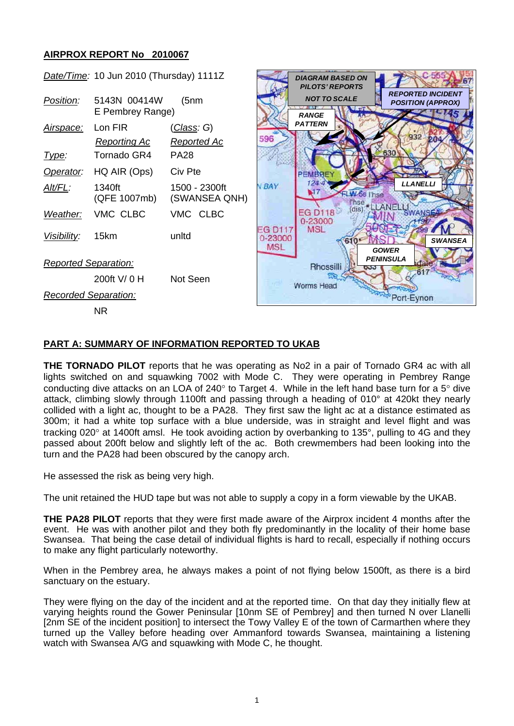## **AIRPROX REPORT No 2010067**



## **PART A: SUMMARY OF INFORMATION REPORTED TO UKAB**

**THE TORNADO PILOT** reports that he was operating as No2 in a pair of Tornado GR4 ac with all lights switched on and squawking 7002 with Mode C. They were operating in Pembrey Range conducting dive attacks on an LOA of 240° to Target 4. While in the left hand base turn for a 5° dive attack, climbing slowly through 1100ft and passing through a heading of 010° at 420kt they nearly collided with a light ac, thought to be a PA28. They first saw the light ac at a distance estimated as 300m; it had a white top surface with a blue underside, was in straight and level flight and was tracking 020° at 1400ft amsl. He took avoiding action by overbanking to 135°, pulling to 4G and they passed about 200ft below and slightly left of the ac. Both crewmembers had been looking into the turn and the PA28 had been obscured by the canopy arch.

He assessed the risk as being very high.

The unit retained the HUD tape but was not able to supply a copy in a form viewable by the UKAB.

**THE PA28 PILOT** reports that they were first made aware of the Airprox incident 4 months after the event. He was with another pilot and they both fly predominantly in the locality of their home base Swansea. That being the case detail of individual flights is hard to recall, especially if nothing occurs to make any flight particularly noteworthy.

When in the Pembrey area, he always makes a point of not flying below 1500ft, as there is a bird sanctuary on the estuary.

They were flying on the day of the incident and at the reported time. On that day they initially flew at varying heights round the Gower Peninsular [10nm SE of Pembrey] and then turned N over Llanelli [2nm SE of the incident position] to intersect the Towy Valley E of the town of Carmarthen where they turned up the Valley before heading over Ammanford towards Swansea, maintaining a listening watch with Swansea A/G and squawking with Mode C, he thought.